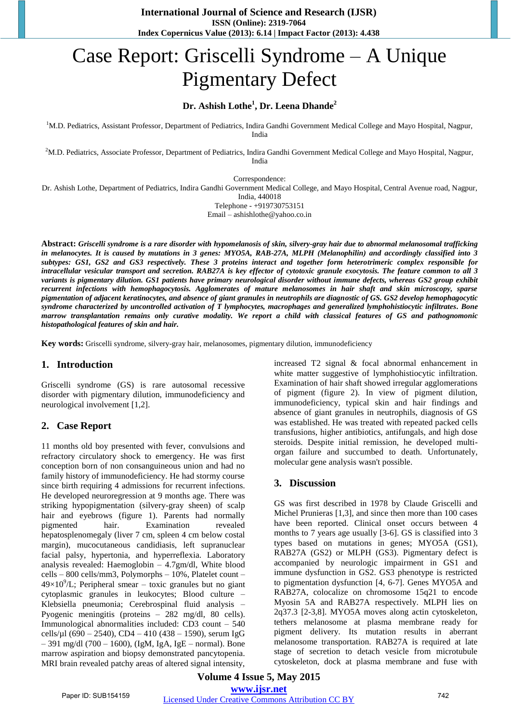# Case Report: Griscelli Syndrome – A Unique Pigmentary Defect

## **Dr. Ashish Lothe<sup>1</sup> , Dr. Leena Dhande<sup>2</sup>**

<sup>1</sup>M.D. Pediatrics, Assistant Professor, Department of Pediatrics, Indira Gandhi Government Medical College and Mayo Hospital, Nagpur, India

 $2$ M.D. Pediatrics, Associate Professor, Department of Pediatrics, Indira Gandhi Government Medical College and Mayo Hospital, Nagpur, India

Correspondence:

Dr. Ashish Lothe, Department of Pediatrics, Indira Gandhi Government Medical College, and Mayo Hospital, Central Avenue road, Nagpur,

India, 440018 Telephone - +919730753151

Email – ashishlothe@yahoo.co.in

**Abstract:** *Griscelli syndrome is a rare disorder with hypomelanosis of skin, silvery-gray hair due to abnormal melanosomal trafficking in melanocytes. It is caused by mutations in 3 genes: MYO5A, RAB-27A, MLPH (Melanophilin) and accordingly classified into 3 subtypes: GS1, GS2 and GS3 respectively. These 3 proteins interact and together form heterotrimeric complex responsible for intracellular vesicular transport and secretion. RAB27A is key effector of cytotoxic granule exocytosis. The feature common to all 3 variants is pigmentary dilution. GS1 patients have primary neurological disorder without immune defects, whereas GS2 group exhibit recurrent infections with hemophagocytosis. Agglomerates of mature melanosomes in hair shaft and skin microscopy, sparse pigmentation of adjacent keratinocytes, and absence of giant granules in neutrophils are diagnostic of GS. GS2 develop hemophagocytic syndrome characterized by uncontrolled activation of T lymphocytes, macrophages and generalized lymphohistiocytic infiltrates. Bone marrow transplantation remains only curative modality. We report a child with classical features of GS and pathognomonic histopathological features of skin and hair.*

**Key words:** Griscelli syndrome, silvery-gray hair, melanosomes, pigmentary dilution, immunodeficiency

#### **1. Introduction**

Griscelli syndrome (GS) is rare autosomal recessive disorder with pigmentary dilution, immunodeficiency and neurological involvement [1,2].

### **2. Case Report**

11 months old boy presented with fever, convulsions and refractory circulatory shock to emergency. He was first conception born of non consanguineous union and had no family history of immunodeficiency. He had stormy course since birth requiring 4 admissions for recurrent infections. He developed neuroregression at 9 months age. There was striking hypopigmentation (silvery-gray sheen) of scalp hair and eyebrows (figure 1). Parents had normally pigmented hair. Examination revealed hepatosplenomegaly (liver 7 cm, spleen 4 cm below costal margin), mucocutaneous candidiasis, left supranuclear facial palsy, hypertonia, and hyperreflexia. Laboratory analysis revealed: Haemoglobin – 4.7gm/dl, White blood cells – 800 cells/mm3, Polymorphs – 10%, Platelet count –  $49\times10^{9}/L$ ; Peripheral smear – toxic granules but no giant cytoplasmic granules in leukocytes; Blood culture – Klebsiella pneumonia; Cerebrospinal fluid analysis – Pyogenic meningitis (proteins – 282 mg/dl, 80 cells). Immunological abnormalities included: CD3 count – 540 cells/µl (690 – 2540), CD4 – 410 (438 – 1590), serum IgG – 391 mg/dl (700 – 1600), (IgM, IgA, IgE – normal). Bone marrow aspiration and biopsy demonstrated pancytopenia. MRI brain revealed patchy areas of altered signal intensity,

increased T2 signal & focal abnormal enhancement in white matter suggestive of lymphohistiocytic infiltration. Examination of hair shaft showed irregular agglomerations of pigment (figure 2). In view of pigment dilution, immunodeficiency, typical skin and hair findings and absence of giant granules in neutrophils, diagnosis of GS was established. He was treated with repeated packed cells transfusions, higher antibiotics, antifungals, and high dose steroids. Despite initial remission, he developed multiorgan failure and succumbed to death. Unfortunately, molecular gene analysis wasn't possible.

### **3. Discussion**

GS was first described in 1978 by Claude Griscelli and Michel Prunieras [1,3], and since then more than 100 cases have been reported. Clinical onset occurs between 4 months to 7 years age usually [3-6]. GS is classified into 3 types based on mutations in genes; MYO5A (GS1), RAB27A (GS2) or MLPH (GS3). Pigmentary defect is accompanied by neurologic impairment in GS1 and immune dysfunction in GS2. GS3 phenotype is restricted to pigmentation dysfunction [4, 6-7]. Genes MYO5A and RAB27A, colocalize on chromosome 15q21 to encode Myosin 5A and RAB27A respectively. MLPH lies on 2q37.3 [2-3,8]. MYO5A moves along actin cytoskeleton, tethers melanosome at plasma membrane ready for pigment delivery. Its mutation results in aberrant melanosome transportation. RAB27A is required at late stage of secretion to detach vesicle from microtubule cytoskeleton, dock at plasma membrane and fuse with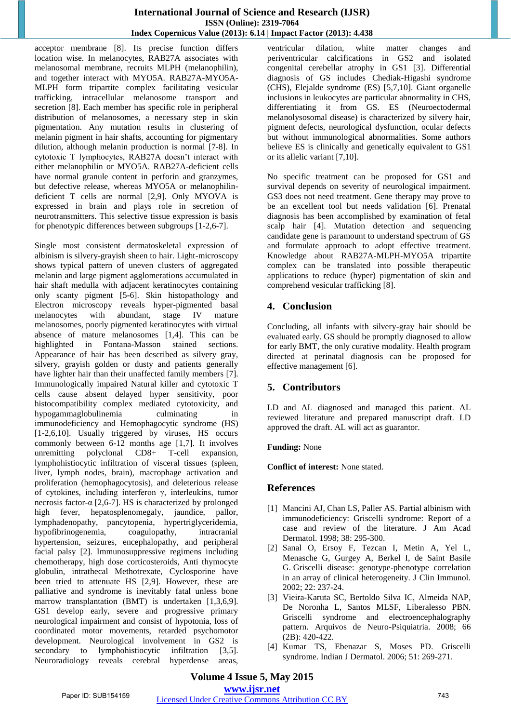acceptor membrane [8]. Its precise function differs location wise. In melanocytes, RAB27A associates with melanosomal membrane, recruits MLPH (melanophilin), and together interact with MYO5A. RAB27A-MYO5A-MLPH form tripartite complex facilitating vesicular trafficking, intracellular melanosome transport and secretion [8]. Each member has specific role in peripheral distribution of melanosomes, a necessary step in skin pigmentation. Any mutation results in clustering of melanin pigment in hair shafts, accounting for pigmentary dilution, although melanin production is normal [7-8]. In cytotoxic T lymphocytes, RAB27A doesn't interact with either melanophilin or MYO5A. RAB27A-deficient cells have normal granule content in perforin and granzymes, but defective release, whereas MYO5A or melanophilindeficient T cells are normal [2,9]. Only MYOVA is expressed in brain and plays role in secretion of neurotransmitters. This selective tissue expression is basis for phenotypic differences between subgroups [1-2,6-7].

Single most consistent dermatoskeletal expression of albinism is silvery-grayish sheen to hair. Light-microscopy shows typical pattern of uneven clusters of aggregated melanin and large pigment agglomerations accumulated in hair shaft medulla with adjacent keratinocytes containing only scanty pigment [5-6]. Skin histopathology and Electron microscopy reveals hyper-pigmented basal melanocytes with abundant, stage IV mature melanosomes, poorly pigmented keratinocytes with virtual absence of mature melanosomes [1,4]. This can be highlighted in Fontana-Masson stained sections. Appearance of hair has been described as silvery gray, silvery, grayish golden or dusty and patients generally have lighter hair than their unaffected family members [7]. Immunologically impaired Natural killer and cytotoxic T cells cause absent delayed hyper sensitivity, poor histocompatibility complex mediated cytotoxicity, and hypogammaglobulinemia culminating in immunodeficiency and Hemophagocytic syndrome (HS) [1-2,6,10]. Usually triggered by viruses, HS occurs commonly between 6-12 months age [1,7]. It involves unremitting polyclonal CD8+ T-cell expansion, lymphohistiocytic infiltration of visceral tissues (spleen, liver, lymph nodes, brain), macrophage activation and proliferation (hemophagocytosis), and deleterious release of cytokines, including interferon γ, interleukins, tumor necrosis factor-α  $[2,6-7]$ . HS is characterized by prolonged high fever, hepatosplenomegaly, jaundice, pallor, lymphadenopathy, pancytopenia, hypertriglyceridemia, hypofibrinogenemia, coagulopathy, intracranial hypertension, seizures, encephalopathy, and peripheral facial palsy [2]. Immunosuppressive regimens including chemotherapy, high dose corticosteroids, Anti thymocyte globulin, intrathecal Methotrexate, Cyclosporine have been tried to attenuate HS [2,9]. However, these are palliative and syndrome is inevitably fatal unless bone marrow transplantation (BMT) is undertaken [1,3,6,9]. GS1 develop early, severe and progressive primary neurological impairment and consist of hypotonia, loss of coordinated motor movements, retarded psychomotor development. Neurological involvement in GS2 is secondary to lymphohistiocytic infiltration [3,5]. Neuroradiology reveals cerebral hyperdense areas,

ventricular dilation, white matter changes and periventricular calcifications in GS2 and isolated congenital cerebellar atrophy in GS1 [3]. Differential diagnosis of GS includes Chediak-Higashi syndrome (CHS), Elejalde syndrome (ES) [5,7,10]. Giant organelle inclusions in leukocytes are particular abnormality in CHS, differentiating it from GS. ES (Neuroectodermal melanolysosomal disease) is characterized by silvery hair, pigment defects, neurological dysfunction, ocular defects but without immunological abnormalities. Some authors believe ES is clinically and genetically equivalent to GS1 or its allelic variant [7,10].

No specific treatment can be proposed for GS1 and survival depends on severity of neurological impairment. GS3 does not need treatment. Gene therapy may prove to be an excellent tool but needs validation [6]. Prenatal diagnosis has been accomplished by examination of fetal scalp hair [4]. Mutation detection and sequencing candidate gene is paramount to understand spectrum of GS and formulate approach to adopt effective treatment. Knowledge about RAB27A-MLPH-MYO5A tripartite complex can be translated into possible therapeutic applications to reduce (hyper) pigmentation of skin and comprehend vesicular trafficking [8].

# **4. Conclusion**

Concluding, all infants with silvery-gray hair should be evaluated early. GS should be promptly diagnosed to allow for early BMT, the only curative modality. Health program directed at perinatal diagnosis can be proposed for effective management [6].

# **5. Contributors**

LD and AL diagnosed and managed this patient. AL reviewed literature and prepared manuscript draft. LD approved the draft. AL will act as guarantor.

#### **Funding:** None

**Conflict of interest:** None stated.

### **References**

- [1] Mancini AJ, Chan LS, Paller AS. Partial albinism with immunodeficiency: Griscelli syndrome: Report of a case and review of the literature. J Am Acad Dermatol. 1998; 38: 295-300.
- [2] Sanal O, Ersoy F, Tezcan I, Metin A, Yel L, Menasche G, Gurgey A, Berkel I, de Saint Basile G. Griscelli disease: genotype-phenotype correlation in an array of clinical heterogeneity. J Clin Immunol. 2002; 22: 237-24.
- [3] Vieira-Karuta SC, Bertoldo Silva IC, Almeida NAP, De Noronha L, Santos MLSF, Liberalesso PBN. Griscelli syndrome and electroencephalography pattern. Arquivos de Neuro-Psiquiatria. 2008; 66 (2B): 420-422.
- [4] Kumar TS, Ebenazar S, Moses PD. Griscelli syndrome. Indian J Dermatol. 2006; 51: 269-271.